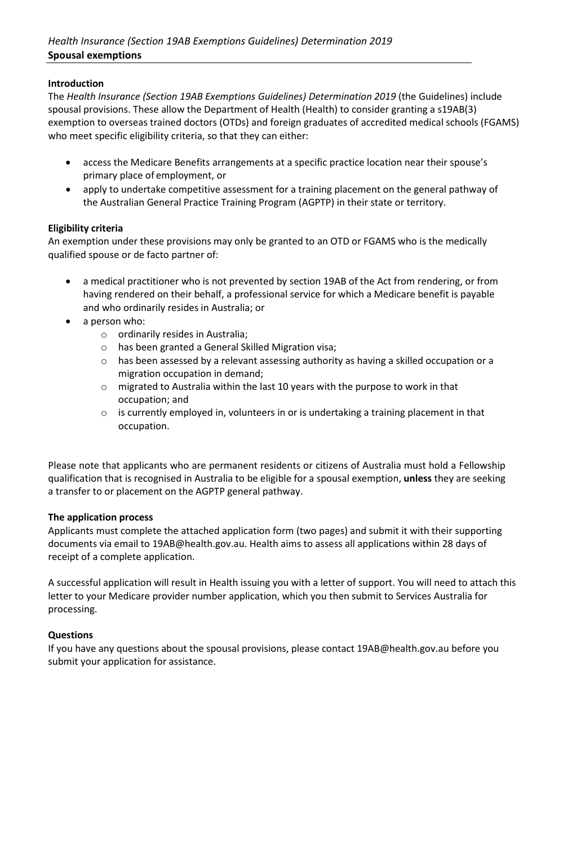# **Introduction**

The *Health Insurance (Section 19AB Exemptions Guidelines) Determination 2019* (the Guidelines) include spousal provisions. These allow the Department of Health (Health) to consider granting a s19AB(3) exemption to overseas trained doctors (OTDs) and foreign graduates of accredited medical schools (FGAMS) who meet specific eligibility criteria, so that they can either:

- access the Medicare Benefits arrangements at a specific practice location near their spouse's primary place of employment, or
- apply to undertake competitive assessment for a training placement on the general pathway of the Australian General Practice Training Program (AGPTP) in their state or territory.

# **Eligibility criteria**

An exemption under these provisions may only be granted to an OTD or FGAMS who is the medically qualified spouse or de facto partner of:

- a medical practitioner who is not prevented by section 19AB of the Act from rendering, or from having rendered on their behalf, a professional service for which a Medicare benefit is payable and who ordinarily resides in Australia; or
- a person who:
	- o ordinarily resides in Australia;
	- o has been granted a General Skilled Migration visa;
	- $\circ$  has been assessed by a relevant assessing authority as having a skilled occupation or a migration occupation in demand;
	- o migrated to Australia within the last 10 years with the purpose to work in that occupation; and
	- $\circ$  is currently employed in, volunteers in or is undertaking a training placement in that occupation.

Please note that applicants who are permanent residents or citizens of Australia must hold a Fellowship qualification that is recognised in Australia to be eligible for a spousal exemption, **unless** they are seeking a transfer to or placement on the AGPTP general pathway.

# **The application process**

Applicants must complete the attached application form (two pages) and submit it with their supporting documents via email to [19AB@health.gov.au. H](mailto:19AB@health.gov.au)ealth aims to assess all applications within 28 days of receipt of a complete application.

A successful application will result in Health issuing you with a letter of support. You will need to attach this letter to your Medicare provider number application, which you then submit to Services Australia for processing.

# **Questions**

If you have any questions about the spousal provisions, please contact [19AB@health.gov.au](mailto:19AB@health.gov.au) before you submit your application for assistance.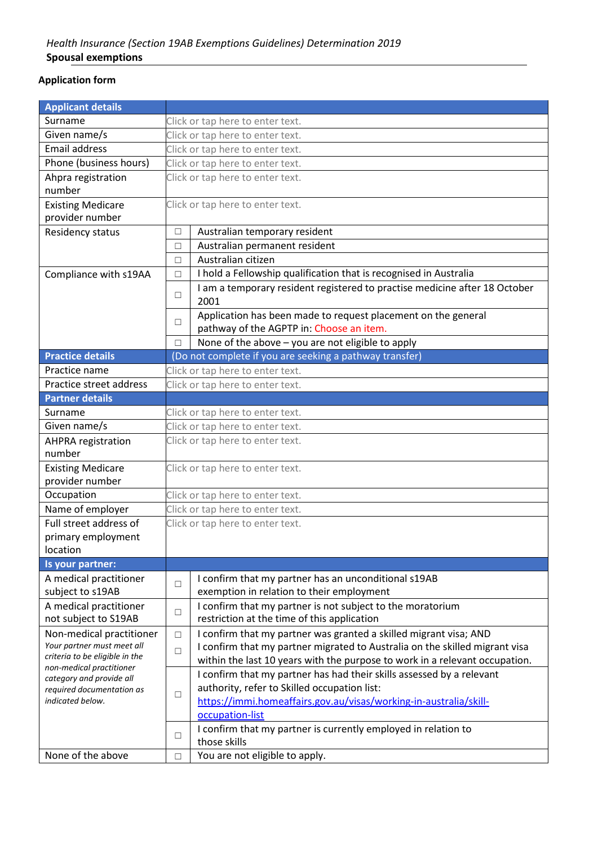# **Application form**

| <b>Applicant details</b>                             |                                  |                                                                             |
|------------------------------------------------------|----------------------------------|-----------------------------------------------------------------------------|
| Surname                                              |                                  | Click or tap here to enter text.                                            |
| Given name/s                                         | Click or tap here to enter text. |                                                                             |
| <b>Email address</b>                                 | Click or tap here to enter text. |                                                                             |
| Phone (business hours)                               |                                  | Click or tap here to enter text.                                            |
| Ahpra registration                                   |                                  | Click or tap here to enter text.                                            |
| number                                               |                                  |                                                                             |
| <b>Existing Medicare</b>                             |                                  | Click or tap here to enter text.                                            |
| provider number                                      |                                  |                                                                             |
| Residency status                                     | $\Box$                           | Australian temporary resident                                               |
|                                                      | $\Box$                           | Australian permanent resident                                               |
|                                                      | $\Box$                           | Australian citizen                                                          |
| Compliance with s19AA                                | $\Box$                           | I hold a Fellowship qualification that is recognised in Australia           |
|                                                      |                                  | I am a temporary resident registered to practise medicine after 18 October  |
|                                                      | $\Box$                           | 2001                                                                        |
|                                                      |                                  | Application has been made to request placement on the general               |
|                                                      | П                                | pathway of the AGPTP in: Choose an item.                                    |
|                                                      | П                                | None of the above - you are not eligible to apply                           |
| <b>Practice details</b>                              |                                  | (Do not complete if you are seeking a pathway transfer)                     |
| Practice name                                        |                                  | Click or tap here to enter text.                                            |
| Practice street address                              |                                  | Click or tap here to enter text.                                            |
| <b>Partner details</b>                               |                                  |                                                                             |
| Surname                                              |                                  | Click or tap here to enter text.                                            |
| Given name/s                                         | Click or tap here to enter text. |                                                                             |
| <b>AHPRA</b> registration                            |                                  | Click or tap here to enter text.                                            |
| number                                               |                                  |                                                                             |
| <b>Existing Medicare</b>                             |                                  | Click or tap here to enter text.                                            |
| provider number                                      |                                  |                                                                             |
| Occupation                                           |                                  | Click or tap here to enter text.                                            |
| Name of employer                                     |                                  | Click or tap here to enter text.                                            |
| Full street address of                               |                                  | Click or tap here to enter text.                                            |
| primary employment                                   |                                  |                                                                             |
| location                                             |                                  |                                                                             |
| Is your partner:                                     |                                  |                                                                             |
| A medical practitioner                               |                                  | I confirm that my partner has an unconditional s19AB                        |
| subject to s19AB                                     | $\Box$                           | exemption in relation to their employment                                   |
| A medical practitioner                               |                                  | I confirm that my partner is not subject to the moratorium                  |
| not subject to S19AB                                 | $\Box$                           | restriction at the time of this application                                 |
| Non-medical practitioner                             | $\Box$                           | I confirm that my partner was granted a skilled migrant visa; AND           |
| Your partner must meet all                           | $\Box$                           | I confirm that my partner migrated to Australia on the skilled migrant visa |
| criteria to be eligible in the                       |                                  | within the last 10 years with the purpose to work in a relevant occupation. |
| non-medical practitioner<br>category and provide all |                                  | I confirm that my partner has had their skills assessed by a relevant       |
| required documentation as                            |                                  | authority, refer to Skilled occupation list:                                |
| indicated below.                                     | $\Box$                           | https://immi.homeaffairs.gov.au/visas/working-in-australia/skill-           |
|                                                      |                                  | occupation-list                                                             |
|                                                      |                                  | I confirm that my partner is currently employed in relation to              |
|                                                      | □                                | those skills                                                                |
| None of the above                                    | $\Box$                           | You are not eligible to apply.                                              |